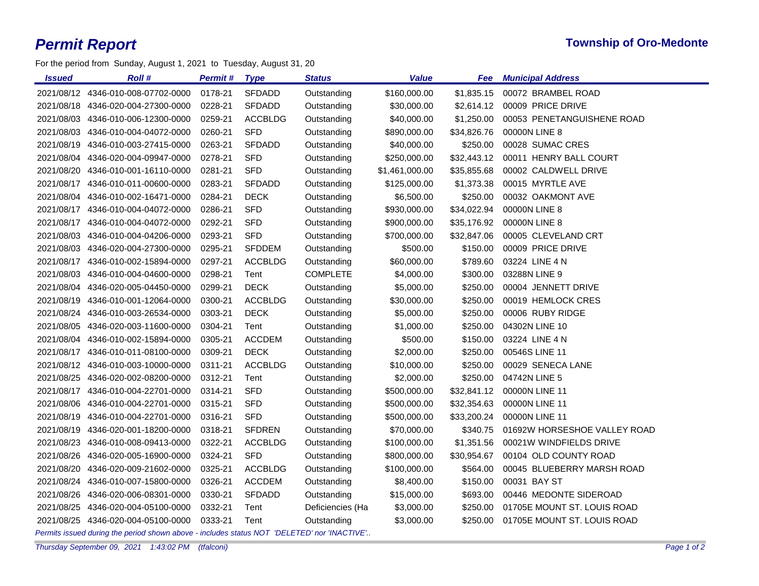## *Permit Report* **Township of Oro-Medonte**

For the period from Sunday, August 1, 2021 to Tuesday, August 31, 20

| 2021/08/12 4346-010-008-07702-0000<br>0178-21<br><b>SFDADD</b><br>\$160,000.00<br>00072 BRAMBEL ROAD<br>Outstanding<br>\$1,835.15<br><b>SFDADD</b><br>00009 PRICE DRIVE<br>2021/08/18 4346-020-004-27300-0000<br>0228-21<br>Outstanding<br>\$30,000.00<br>\$2,614.12<br><b>ACCBLDG</b><br>\$1,250.00<br>00053 PENETANGUISHENE ROAD<br>2021/08/03 4346-010-006-12300-0000<br>0259-21<br>Outstanding<br>\$40,000.00<br>2021/08/03 4346-010-004-04072-0000<br><b>SFD</b><br>Outstanding<br>\$34,826.76<br>00000N LINE 8<br>0260-21<br>\$890,000.00<br><b>SFDADD</b><br>2021/08/19 4346-010-003-27415-0000<br>0263-21<br>\$40,000.00<br>\$250.00<br>00028 SUMAC CRES<br>Outstanding<br><b>SFD</b><br>00011 HENRY BALL COURT<br>2021/08/04 4346-020-004-09947-0000<br>0278-21<br>Outstanding<br>\$250,000.00<br>\$32,443.12<br><b>SFD</b><br>00002 CALDWELL DRIVE<br>2021/08/20 4346-010-001-16110-0000<br>0281-21<br>\$35,855.68<br>Outstanding<br>\$1,461,000.00<br><b>SFDADD</b><br>00015 MYRTLE AVE<br>2021/08/17 4346-010-011-00600-0000<br>0283-21<br>Outstanding<br>\$125,000.00<br>\$1,373.38<br>2021/08/04 4346-010-002-16471-0000<br>0284-21<br><b>DECK</b><br>\$6,500.00<br>\$250.00<br>00032 OAKMONT AVE<br>Outstanding | <b>Issued</b> | <b>Roll#</b> | <b>Permit#</b> | <b>Type</b> | <b>Status</b> | <b>Value</b> | Fee         | <b>Municipal Address</b> |
|--------------------------------------------------------------------------------------------------------------------------------------------------------------------------------------------------------------------------------------------------------------------------------------------------------------------------------------------------------------------------------------------------------------------------------------------------------------------------------------------------------------------------------------------------------------------------------------------------------------------------------------------------------------------------------------------------------------------------------------------------------------------------------------------------------------------------------------------------------------------------------------------------------------------------------------------------------------------------------------------------------------------------------------------------------------------------------------------------------------------------------------------------------------------------------------------------------------------------------|---------------|--------------|----------------|-------------|---------------|--------------|-------------|--------------------------|
|                                                                                                                                                                                                                                                                                                                                                                                                                                                                                                                                                                                                                                                                                                                                                                                                                                                                                                                                                                                                                                                                                                                                                                                                                                |               |              |                |             |               |              |             |                          |
|                                                                                                                                                                                                                                                                                                                                                                                                                                                                                                                                                                                                                                                                                                                                                                                                                                                                                                                                                                                                                                                                                                                                                                                                                                |               |              |                |             |               |              |             |                          |
|                                                                                                                                                                                                                                                                                                                                                                                                                                                                                                                                                                                                                                                                                                                                                                                                                                                                                                                                                                                                                                                                                                                                                                                                                                |               |              |                |             |               |              |             |                          |
|                                                                                                                                                                                                                                                                                                                                                                                                                                                                                                                                                                                                                                                                                                                                                                                                                                                                                                                                                                                                                                                                                                                                                                                                                                |               |              |                |             |               |              |             |                          |
|                                                                                                                                                                                                                                                                                                                                                                                                                                                                                                                                                                                                                                                                                                                                                                                                                                                                                                                                                                                                                                                                                                                                                                                                                                |               |              |                |             |               |              |             |                          |
|                                                                                                                                                                                                                                                                                                                                                                                                                                                                                                                                                                                                                                                                                                                                                                                                                                                                                                                                                                                                                                                                                                                                                                                                                                |               |              |                |             |               |              |             |                          |
|                                                                                                                                                                                                                                                                                                                                                                                                                                                                                                                                                                                                                                                                                                                                                                                                                                                                                                                                                                                                                                                                                                                                                                                                                                |               |              |                |             |               |              |             |                          |
|                                                                                                                                                                                                                                                                                                                                                                                                                                                                                                                                                                                                                                                                                                                                                                                                                                                                                                                                                                                                                                                                                                                                                                                                                                |               |              |                |             |               |              |             |                          |
|                                                                                                                                                                                                                                                                                                                                                                                                                                                                                                                                                                                                                                                                                                                                                                                                                                                                                                                                                                                                                                                                                                                                                                                                                                |               |              |                |             |               |              |             |                          |
| 2021/08/17 4346-010-004-04072-0000<br>0286-21<br>Outstanding                                                                                                                                                                                                                                                                                                                                                                                                                                                                                                                                                                                                                                                                                                                                                                                                                                                                                                                                                                                                                                                                                                                                                                   |               |              |                | <b>SFD</b>  |               | \$930,000.00 | \$34,022.94 | 00000N LINE 8            |
| 2021/08/17 4346-010-004-04072-0000<br>0292-21<br><b>SFD</b><br>\$35,176.92<br>00000N LINE 8<br>Outstanding<br>\$900,000.00                                                                                                                                                                                                                                                                                                                                                                                                                                                                                                                                                                                                                                                                                                                                                                                                                                                                                                                                                                                                                                                                                                     |               |              |                |             |               |              |             |                          |
| <b>SFD</b><br>00005 CLEVELAND CRT<br>2021/08/03 4346-010-004-04206-0000<br>0293-21<br>Outstanding<br>\$700,000.00<br>\$32,847.06                                                                                                                                                                                                                                                                                                                                                                                                                                                                                                                                                                                                                                                                                                                                                                                                                                                                                                                                                                                                                                                                                               |               |              |                |             |               |              |             |                          |
| 00009 PRICE DRIVE<br>2021/08/03 4346-020-004-27300-0000<br>0295-21<br><b>SFDDEM</b><br>Outstanding<br>\$500.00<br>\$150.00                                                                                                                                                                                                                                                                                                                                                                                                                                                                                                                                                                                                                                                                                                                                                                                                                                                                                                                                                                                                                                                                                                     |               |              |                |             |               |              |             |                          |
| 2021/08/17 4346-010-002-15894-0000<br>0297-21<br><b>ACCBLDG</b><br>\$60,000.00<br>\$789.60<br>03224 LINE 4 N<br>Outstanding                                                                                                                                                                                                                                                                                                                                                                                                                                                                                                                                                                                                                                                                                                                                                                                                                                                                                                                                                                                                                                                                                                    |               |              |                |             |               |              |             |                          |
| 03288N LINE 9<br>2021/08/03 4346-010-004-04600-0000<br>0298-21<br><b>COMPLETE</b><br>\$4,000.00<br>\$300.00<br>Tent                                                                                                                                                                                                                                                                                                                                                                                                                                                                                                                                                                                                                                                                                                                                                                                                                                                                                                                                                                                                                                                                                                            |               |              |                |             |               |              |             |                          |
| <b>DECK</b><br>00004 JENNETT DRIVE<br>2021/08/04<br>4346-020-005-04450-0000<br>0299-21<br>Outstanding<br>\$5,000.00<br>\$250.00                                                                                                                                                                                                                                                                                                                                                                                                                                                                                                                                                                                                                                                                                                                                                                                                                                                                                                                                                                                                                                                                                                |               |              |                |             |               |              |             |                          |
| 00019 HEMLOCK CRES<br>0300-21<br><b>ACCBLDG</b><br>\$250.00<br>Outstanding<br>\$30,000.00                                                                                                                                                                                                                                                                                                                                                                                                                                                                                                                                                                                                                                                                                                                                                                                                                                                                                                                                                                                                                                                                                                                                      |               |              |                |             |               |              |             |                          |
| <b>DECK</b><br>00006 RUBY RIDGE<br>2021/08/24 4346-010-003-26534-0000<br>0303-21<br>Outstanding<br>\$5,000.00<br>\$250.00                                                                                                                                                                                                                                                                                                                                                                                                                                                                                                                                                                                                                                                                                                                                                                                                                                                                                                                                                                                                                                                                                                      |               |              |                |             |               |              |             |                          |
| 2021/08/05<br>4346-020-003-11600-0000<br>\$250.00<br>04302N LINE 10<br>0304-21<br>Outstanding<br>\$1,000.00<br>Tent                                                                                                                                                                                                                                                                                                                                                                                                                                                                                                                                                                                                                                                                                                                                                                                                                                                                                                                                                                                                                                                                                                            |               |              |                |             |               |              |             |                          |
| <b>ACCDEM</b><br>2021/08/04 4346-010-002-15894-0000<br>0305-21<br>Outstanding<br>\$500.00<br>\$150.00<br>03224 LINE 4 N                                                                                                                                                                                                                                                                                                                                                                                                                                                                                                                                                                                                                                                                                                                                                                                                                                                                                                                                                                                                                                                                                                        |               |              |                |             |               |              |             |                          |
| <b>DECK</b><br>\$250.00<br>00546S LINE 11<br>2021/08/17 4346-010-011-08100-0000<br>0309-21<br>Outstanding<br>\$2,000.00                                                                                                                                                                                                                                                                                                                                                                                                                                                                                                                                                                                                                                                                                                                                                                                                                                                                                                                                                                                                                                                                                                        |               |              |                |             |               |              |             |                          |
| <b>ACCBLDG</b><br>Outstanding<br>\$250.00<br>00029 SENECA LANE<br>2021/08/12 4346-010-003-10000-0000<br>0311-21<br>\$10,000.00                                                                                                                                                                                                                                                                                                                                                                                                                                                                                                                                                                                                                                                                                                                                                                                                                                                                                                                                                                                                                                                                                                 |               |              |                |             |               |              |             |                          |
| 2021/08/25 4346-020-002-08200-0000<br>0312-21<br>Outstanding<br>\$2,000.00<br>\$250.00<br>04742N LINE 5<br>Tent                                                                                                                                                                                                                                                                                                                                                                                                                                                                                                                                                                                                                                                                                                                                                                                                                                                                                                                                                                                                                                                                                                                |               |              |                |             |               |              |             |                          |
| <b>SFD</b><br>2021/08/17 4346-010-004-22701-0000<br>0314-21<br>Outstanding<br>\$500,000.00<br>\$32,841.12<br>00000N LINE 11                                                                                                                                                                                                                                                                                                                                                                                                                                                                                                                                                                                                                                                                                                                                                                                                                                                                                                                                                                                                                                                                                                    |               |              |                |             |               |              |             |                          |
| 2021/08/06 4346-010-004-22701-0000<br>0315-21<br><b>SFD</b><br>\$32,354.63<br>00000N LINE 11<br>Outstanding<br>\$500,000.00                                                                                                                                                                                                                                                                                                                                                                                                                                                                                                                                                                                                                                                                                                                                                                                                                                                                                                                                                                                                                                                                                                    |               |              |                |             |               |              |             |                          |
| 4346-010-004-22701-0000<br><b>SFD</b><br>\$33,200.24<br>00000N LINE 11<br>2021/08/19<br>0316-21<br>Outstanding<br>\$500,000.00                                                                                                                                                                                                                                                                                                                                                                                                                                                                                                                                                                                                                                                                                                                                                                                                                                                                                                                                                                                                                                                                                                 |               |              |                |             |               |              |             |                          |
| <b>SFDREN</b><br>01692W HORSESHOE VALLEY ROAD<br>2021/08/19 4346-020-001-18200-0000<br>0318-21<br>Outstanding<br>\$70,000.00<br>\$340.75                                                                                                                                                                                                                                                                                                                                                                                                                                                                                                                                                                                                                                                                                                                                                                                                                                                                                                                                                                                                                                                                                       |               |              |                |             |               |              |             |                          |
| <b>ACCBLDG</b><br>00021W WINDFIELDS DRIVE<br>2021/08/23 4346-010-008-09413-0000<br>0322-21<br>\$100,000.00<br>\$1,351.56<br>Outstanding                                                                                                                                                                                                                                                                                                                                                                                                                                                                                                                                                                                                                                                                                                                                                                                                                                                                                                                                                                                                                                                                                        |               |              |                |             |               |              |             |                          |
| 00104 OLD COUNTY ROAD<br>SFD<br>2021/08/26 4346-020-005-16900-0000<br>0324-21<br>Outstanding<br>\$800,000.00<br>\$30,954.67                                                                                                                                                                                                                                                                                                                                                                                                                                                                                                                                                                                                                                                                                                                                                                                                                                                                                                                                                                                                                                                                                                    |               |              |                |             |               |              |             |                          |
| 00045 BLUEBERRY MARSH ROAD<br>2021/08/20 4346-020-009-21602-0000<br>0325-21<br><b>ACCBLDG</b><br>Outstanding<br>\$100,000.00<br>\$564.00                                                                                                                                                                                                                                                                                                                                                                                                                                                                                                                                                                                                                                                                                                                                                                                                                                                                                                                                                                                                                                                                                       |               |              |                |             |               |              |             |                          |
| <b>ACCDEM</b><br>00031 BAY ST<br>2021/08/24 4346-010-007-15800-0000<br>0326-21<br>Outstanding<br>\$8,400.00<br>\$150.00                                                                                                                                                                                                                                                                                                                                                                                                                                                                                                                                                                                                                                                                                                                                                                                                                                                                                                                                                                                                                                                                                                        |               |              |                |             |               |              |             |                          |
| 2021/08/26 4346-020-006-08301-0000<br><b>SFDADD</b><br>\$693.00<br>00446 MEDONTE SIDEROAD<br>0330-21<br>Outstanding<br>\$15,000.00                                                                                                                                                                                                                                                                                                                                                                                                                                                                                                                                                                                                                                                                                                                                                                                                                                                                                                                                                                                                                                                                                             |               |              |                |             |               |              |             |                          |
| 01705E MOUNT ST. LOUIS ROAD<br>2021/08/25 4346-020-004-05100-0000<br>0332-21<br>\$3,000.00<br>\$250.00<br>Tent<br>Deficiencies (Ha                                                                                                                                                                                                                                                                                                                                                                                                                                                                                                                                                                                                                                                                                                                                                                                                                                                                                                                                                                                                                                                                                             |               |              |                |             |               |              |             |                          |
| 01705E MOUNT ST. LOUIS ROAD<br>2021/08/25 4346-020-004-05100-0000<br>0333-21<br>Tent<br>\$3,000.00<br>\$250.00<br>Outstanding<br>$I \cap T$ in $I \cap T$ $I \cap T$ $I \cap T$ $I \cap T$ $I \cap T$ $I \cap T$ $I \cap T$ $I \cap T$ $I \cap T$ $I \cap T$ $I \cap T$<br>the substantial state<br>manual transformation of the internet and an analysis of the books of the books of the second                                                                                                                                                                                                                                                                                                                                                                                                                                                                                                                                                                                                                                                                                                                                                                                                                              |               |              |                |             |               |              |             |                          |

*Permits issued during the period shown above - includes status NOT 'DELETED' nor 'INACTIVE'..*

*Thursday September 09, 2021 1:43:02 PM (tfalconi) Page 1 of 2*